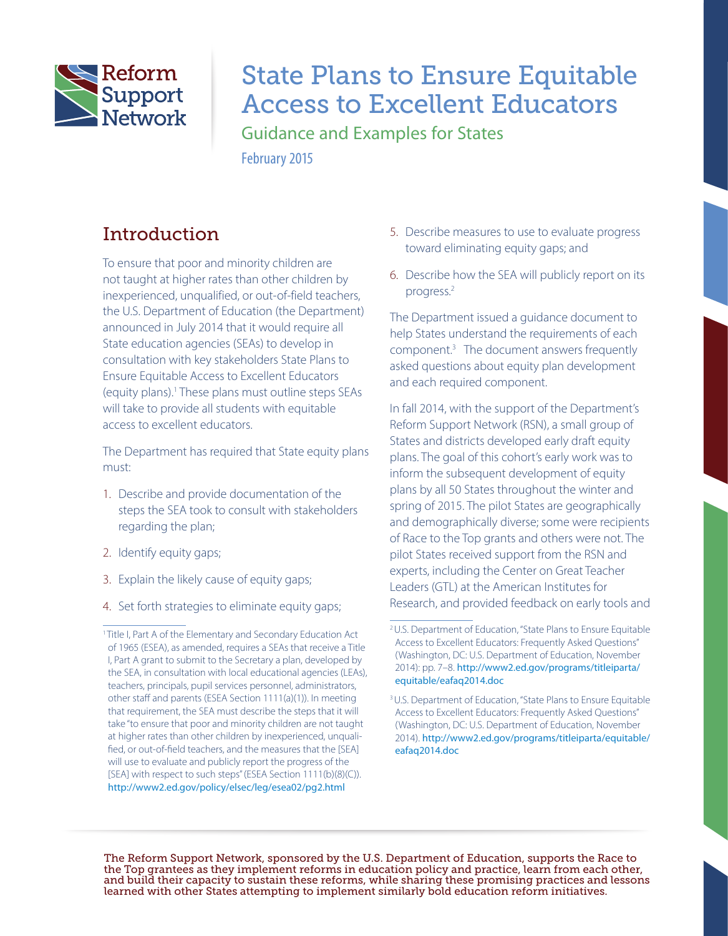

# State Plans to Ensure Equitable Access to Excellent Educators

Guidance and Examples for States February 2015

## Introduction

To ensure that poor and minority children are not taught at higher rates than other children by inexperienced, unqualified, or out-of-field teachers, the U.S. Department of Education (the Department) announced in July 2014 that it would require all State education agencies (SEAs) to develop in consultation with key stakeholders State Plans to Ensure Equitable Access to Excellent Educators (equity plans).1 These plans must outline steps SEAs will take to provide all students with equitable access to excellent educators.

The Department has required that State equity plans must:

- 1. Describe and provide documentation of the steps the SEA took to consult with stakeholders regarding the plan;
- 2. Identify equity gaps;
- 3. Explain the likely cause of equity gaps;
- 4. Set forth strategies to eliminate equity gaps;
- 5. Describe measures to use to evaluate progress toward eliminating equity gaps; and
- 6. Describe how the SEA will publicly report on its progress.2

The Department issued a guidance document to help States understand the requirements of each component.3 The document answers frequently asked questions about equity plan development and each required component.

In fall 2014, with the support of the Department's Reform Support Network (RSN), a small group of States and districts developed early draft equity plans. The goal of this cohort's early work was to inform the subsequent development of equity plans by all 50 States throughout the winter and spring of 2015. The pilot States are geographically and demographically diverse; some were recipients of Race to the Top grants and others were not. The pilot States received support from the RSN and experts, including the Center on Great Teacher Leaders (GTL) at the American Institutes for Research, and provided feedback on early tools and

The Reform Support Network, sponsored by the U.S. Department of Education, supports the Race to the Top grantees as they implement reforms in education policy and practice, learn from each other, and build their capacity to sustain these reforms, while sharing these promising practices and lessons learned with other States attempting to implement similarly bold education reform initiatives.

<sup>&</sup>lt;sup>1</sup> Title I, Part A of the Elementary and Secondary Education Act of 1965 (ESEA), as amended, requires a SEAs that receive a Title I, Part A grant to submit to the Secretary a plan, developed by the SEA, in consultation with local educational agencies (LEAs), teachers, principals, pupil services personnel, administrators, other staff and parents (ESEA Section 1111(a)(1)). In meeting that requirement, the SEA must describe the steps that it will take "to ensure that poor and minority children are not taught at higher rates than other children by inexperienced, unqualified, or out-of-field teachers, and the measures that the [SEA] will use to evaluate and publicly report the progress of the [SEA] with respect to such steps" (ESEA Section 1111(b)(8)(C)). <http://www2.ed.gov/policy/elsec/leg/esea02/pg2.html>

<sup>2</sup>U.S. Department of Education, "State Plans to Ensure Equitable Access to Excellent Educators: Frequently Asked Questions" (Washington, DC: U.S. Department of Education, November 2014): pp. 7–8. [http://www2.ed.gov/programs/titleiparta/](http://www2.ed.gov/programs/titleiparta/equitable/eafaq2014.doc) [equitable/eafaq2014.doc](http://www2.ed.gov/programs/titleiparta/equitable/eafaq2014.doc)

<sup>&</sup>lt;sup>3</sup> U.S. Department of Education, "State Plans to Ensure Equitable Access to Excellent Educators: Frequently Asked Questions" (Washington, DC: U.S. Department of Education, November 2014). [http://www2.ed.gov/programs/titleiparta/equitable/](http://www2.ed.gov/programs/titleiparta/equitable/eafaq2014.doc) [eafaq2014.doc](http://www2.ed.gov/programs/titleiparta/equitable/eafaq2014.doc)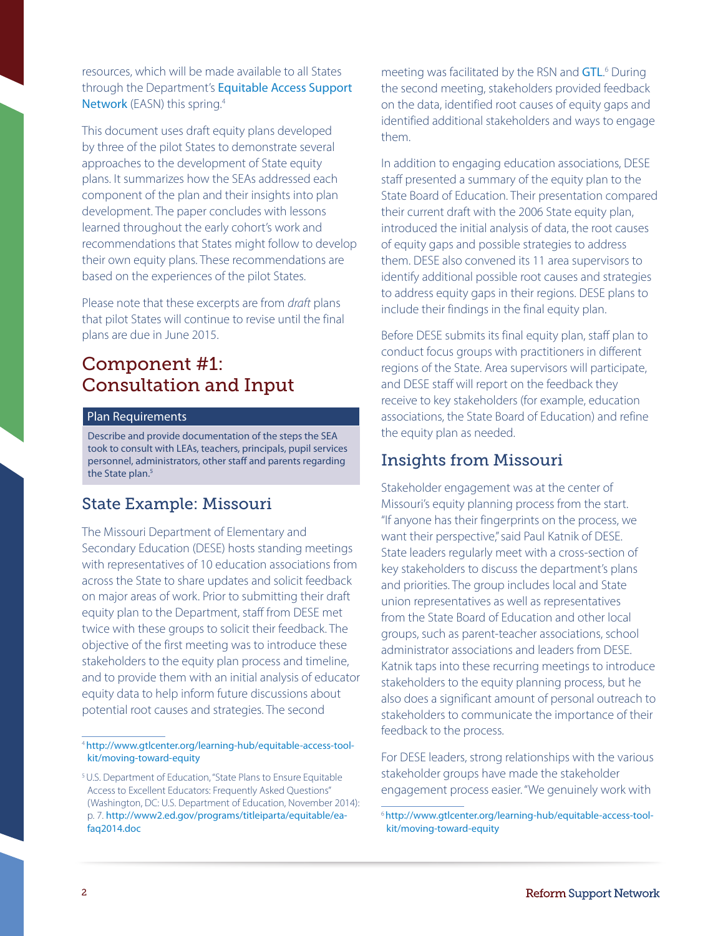resources, which will be made available to all States through the Department's **Equitable Access Support** [Network](https://easn.grads360.org/#program) (EASN) this spring.<sup>4</sup>

This document uses draft equity plans developed by three of the pilot States to demonstrate several approaches to the development of State equity plans. It summarizes how the SEAs addressed each component of the plan and their insights into plan development. The paper concludes with lessons learned throughout the early cohort's work and recommendations that States might follow to develop their own equity plans. These recommendations are based on the experiences of the pilot States.

Please note that these excerpts are from *draft* plans that pilot States will continue to revise until the final plans are due in June 2015.

## Component #1: Consultation and Input<sup>5</sup>

#### Plan Requirements

Describe and provide documentation of the steps the SEA took to consult with LEAs, teachers, principals, pupil services personnel, administrators, other staff and parents regarding the State plan.<sup>5</sup>

## State Example: Missouri

The Missouri Department of Elementary and Secondary Education (DESE) hosts standing meetings with representatives of 10 education associations from across the State to share updates and solicit feedback on major areas of work. Prior to submitting their draft equity plan to the Department, staff from DESE met twice with these groups to solicit their feedback. The objective of the first meeting was to introduce these stakeholders to the equity plan process and timeline, and to provide them with an initial analysis of educator equity data to help inform future discussions about potential root causes and strategies. The second

meeting was facilitated by the RSN and **[GTL](http://www.gtlcenter.org/learning-hub/equitable-access-toolkit/moving-toward-equity)**.<sup>6</sup> During the second meeting, stakeholders provided feedback on the data, identified root causes of equity gaps and identified additional stakeholders and ways to engage them.

In addition to engaging education associations, DESE staff presented a summary of the equity plan to the State Board of Education. Their presentation compared their current draft with the 2006 State equity plan, introduced the initial analysis of data, the root causes of equity gaps and possible strategies to address them. DESE also convened its 11 area supervisors to identify additional possible root causes and strategies to address equity gaps in their regions. DESE plans to include their findings in the final equity plan.

Before DESE submits its final equity plan, staff plan to conduct focus groups with practitioners in different regions of the State. Area supervisors will participate, and DESE staff will report on the feedback they receive to key stakeholders (for example, education associations, the State Board of Education) and refine the equity plan as needed.

## Insights from Missouri

Stakeholder engagement was at the center of Missouri's equity planning process from the start. "If anyone has their fingerprints on the process, we want their perspective," said Paul Katnik of DESE. State leaders regularly meet with a cross-section of key stakeholders to discuss the department's plans and priorities. The group includes local and State union representatives as well as representatives from the State Board of Education and other local groups, such as parent-teacher associations, school administrator associations and leaders from DESE. Katnik taps into these recurring meetings to introduce stakeholders to the equity planning process, but he also does a significant amount of personal outreach to stakeholders to communicate the importance of their feedback to the process.

For DESE leaders, strong relationships with the various stakeholder groups have made the stakeholder engagement process easier. "We genuinely work with

<sup>4</sup>[http://www.gtlcenter.org/learning-hub/equitable-access-tool](http://www.gtlcenter.org/learning-hub/equitable-access-toolkit/moving-toward-equity)[kit/moving-toward-equity](http://www.gtlcenter.org/learning-hub/equitable-access-toolkit/moving-toward-equity)

<sup>5</sup>U.S. Department of Education, "State Plans to Ensure Equitable Access to Excellent Educators: Frequently Asked Questions" (Washington, DC: U.S. Department of Education, November 2014): p. 7. [http://www2.ed.gov/programs/titleiparta/equitable/ea](http://www2.ed.gov/programs/titleiparta/equitable/eafaq2014.doc)[faq2014.doc](http://www2.ed.gov/programs/titleiparta/equitable/eafaq2014.doc)

<sup>6</sup>[http://www.gtlcenter.org/learning-hub/equitable-access-tool](http://www.gtlcenter.org/learning-hub/equitable-access-toolkit/moving-toward-equity)[kit/moving-toward-equity](http://www.gtlcenter.org/learning-hub/equitable-access-toolkit/moving-toward-equity)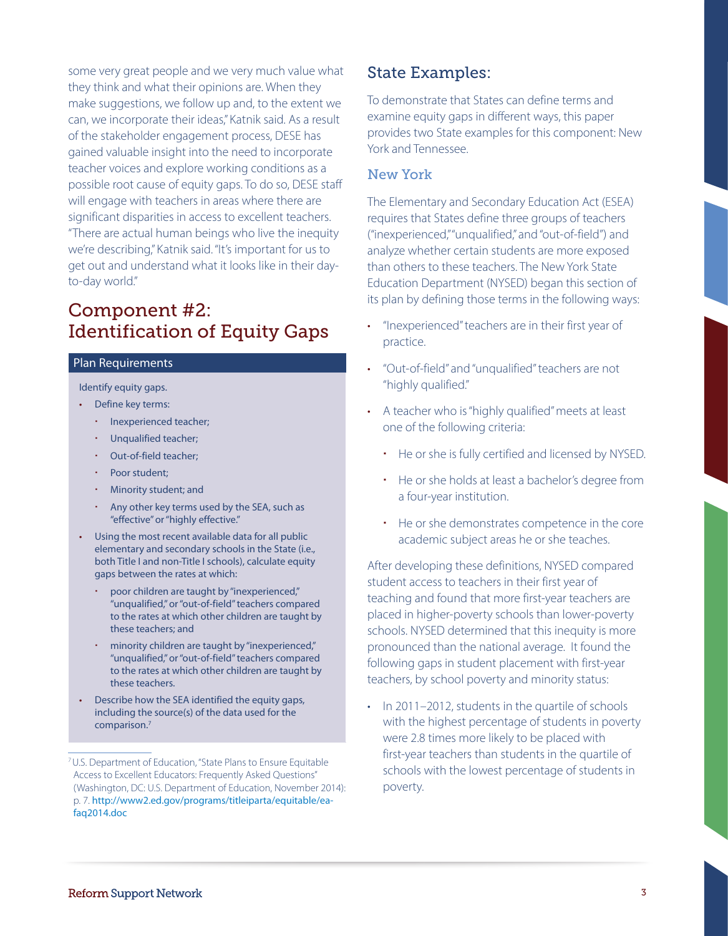some very great people and we very much value what they think and what their opinions are. When they make suggestions, we follow up and, to the extent we can, we incorporate their ideas," Katnik said. As a result of the stakeholder engagement process, DESE has gained valuable insight into the need to incorporate teacher voices and explore working conditions as a possible root cause of equity gaps. To do so, DESE staff will engage with teachers in areas where there are significant disparities in access to excellent teachers. "There are actual human beings who live the inequity we're describing," Katnik said. "It's important for us to get out and understand what it looks like in their dayto-day world."

## Component #2: **Identification of Equity Gaps**

#### Plan Requirements

Identify equity gaps.

- Define key terms:
	- Inexperienced teacher;
	- Unqualified teacher;
	- Out-of-field teacher;
	- Poor student;
	- Minority student; and
	- Any other key terms used by the SEA, such as "effective" or "highly effective."
- • Using the most recent available data for all public elementary and secondary schools in the State (i.e., both Title I and non-Title I schools), calculate equity gaps between the rates at which:
	- poor children are taught by "inexperienced," "unqualified," or "out-of-field" teachers compared to the rates at which other children are taught by these teachers; and
	- minority children are taught by "inexperienced," "unqualified," or "out-of-field" teachers compared to the rates at which other children are taught by these teachers.
- • Describe how the SEA identified the equity gaps, including the source(s) of the data used for the comparison.7

## State Examples:

To demonstrate that States can define terms and examine equity gaps in different ways, this paper provides two State examples for this component: New York and Tennessee.

### New York

The Elementary and Secondary Education Act (ESEA) requires that States define three groups of teachers ("inexperienced," "unqualified," and "out-of-field") and analyze whether certain students are more exposed than others to these teachers. The New York State Education Department (NYSED) began this section of its plan by defining those terms in the following ways:

- • "Inexperienced" teachers are in their first year of practice.
- • "Out-of-field" and "unqualified" teachers are not "highly qualified."
- A teacher who is "highly qualified" meets at least one of the following criteria:
	- He or she is fully certified and licensed by NYSED.
	- He or she holds at least a bachelor's degree from a four-year institution.
	- He or she demonstrates competence in the core academic subject areas he or she teaches.

After developing these definitions, NYSED compared student access to teachers in their first year of teaching and found that more first-year teachers are placed in higher-poverty schools than lower-poverty schools. NYSED determined that this inequity is more pronounced than the national average. It found the following gaps in student placement with first-year teachers, by school poverty and minority status:

• In 2011–2012, students in the quartile of schools with the highest percentage of students in poverty were 2.8 times more likely to be placed with first-year teachers than students in the quartile of schools with the lowest percentage of students in poverty.

<sup>7</sup> U.S. Department of Education, "State Plans to Ensure Equitable Access to Excellent Educators: Frequently Asked Questions" (Washington, DC: U.S. Department of Education, November 2014): p. 7. [http://www2.ed.gov/programs/titleiparta/equitable/ea](http://www2.ed.gov/programs/titleiparta/equitable/eafaq2014.doc)[faq2014.doc](http://www2.ed.gov/programs/titleiparta/equitable/eafaq2014.doc)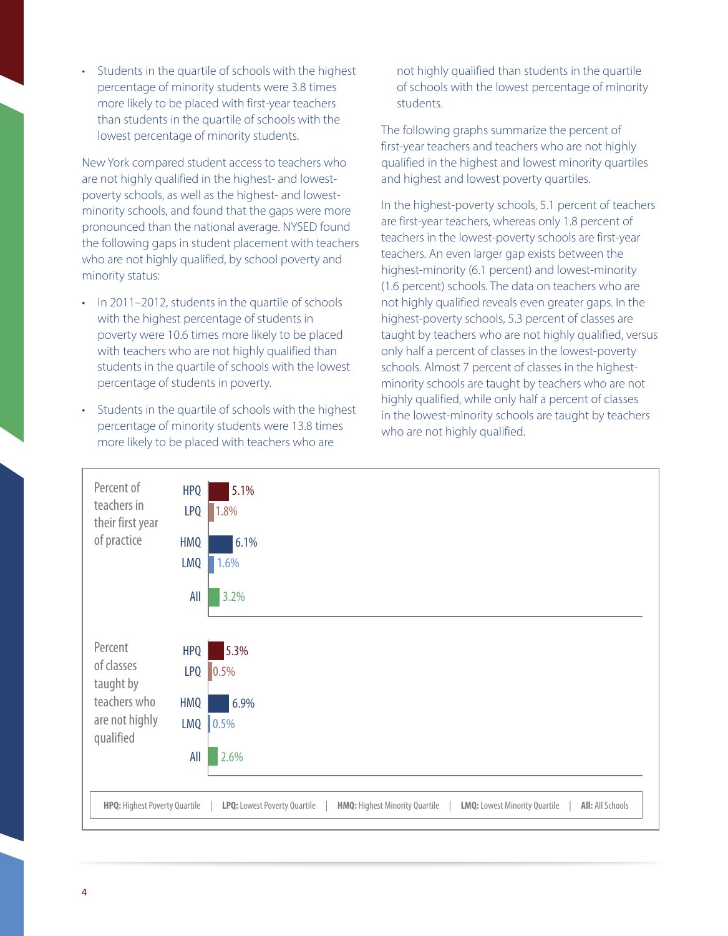• Students in the quartile of schools with the highest percentage of minority students were 3.8 times more likely to be placed with first-year teachers than students in the quartile of schools with the lowest percentage of minority students.

New York compared student access to teachers who are not highly qualified in the highest- and lowestpoverty schools, as well as the highest- and lowestminority schools, and found that the gaps were more pronounced than the national average. NYSED found the following gaps in student placement with teachers who are not highly qualified, by school poverty and minority status:

- In 2011–2012, students in the quartile of schools with the highest percentage of students in poverty were 10.6 times more likely to be placed with teachers who are not highly qualified than students in the quartile of schools with the lowest percentage of students in poverty.
- Students in the quartile of schools with the highest percentage of minority students were 13.8 times more likely to be placed with teachers who are

not highly qualified than students in the quartile of schools with the lowest percentage of minority students.

The following graphs summarize the percent of first-year teachers and teachers who are not highly qualified in the highest and lowest minority quartiles and highest and lowest poverty quartiles.

In the highest-poverty schools, 5.1 percent of teachers are first-year teachers, whereas only 1.8 percent of teachers in the lowest-poverty schools are first-year teachers. An even larger gap exists between the highest-minority (6.1 percent) and lowest-minority (1.6 percent) schools. The data on teachers who are not highly qualified reveals even greater gaps. In the highest-poverty schools, 5.3 percent of classes are taught by teachers who are not highly qualified, versus only half a percent of classes in the lowest-poverty schools. Almost 7 percent of classes in the highestminority schools are taught by teachers who are not highly qualified, while only half a percent of classes in the lowest-minority schools are taught by teachers who are not highly qualified.

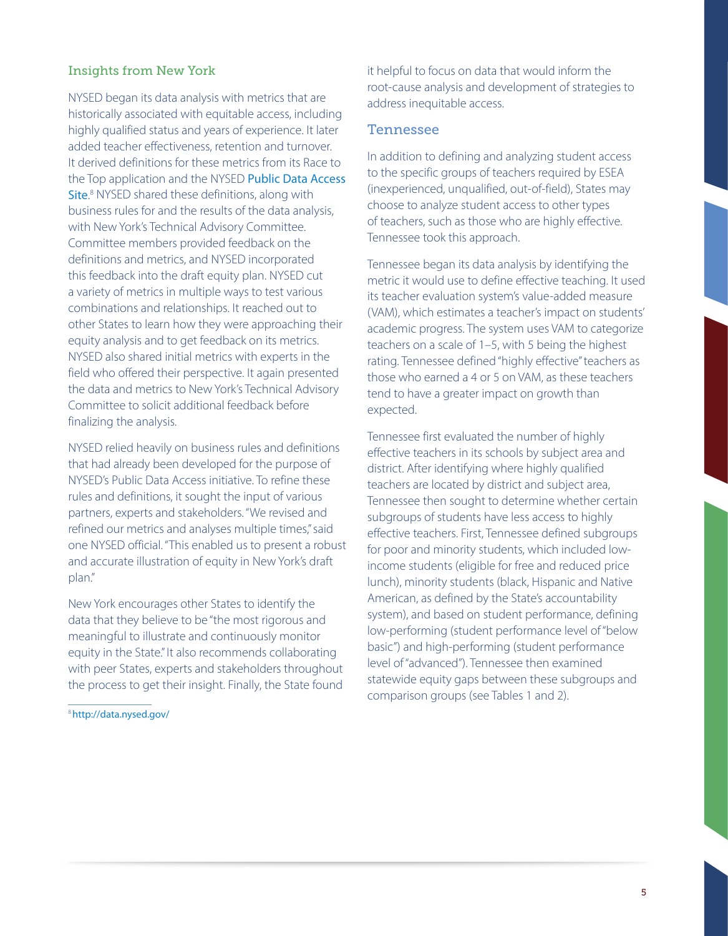### Insights from New York

NYSED began its data analysis with metrics that are historically associated with equitable access, including highly qualified status and years of experience. It later added teacher effectiveness, retention and turnover. It derived definitions for these metrics from its Race to the Top application and the NYSED Public Data Access [Site](http://data.nysed.gov/).<sup>8</sup> NYSED shared these definitions, along with business rules for and the results of the data analysis, with New York's Technical Advisory Committee. Committee members provided feedback on the definitions and metrics, and NYSED incorporated this feedback into the draft equity plan. NYSED cut a variety of metrics in multiple ways to test various combinations and relationships. It reached out to other States to learn how they were approaching their equity analysis and to get feedback on its metrics. NYSED also shared initial metrics with experts in the field who offered their perspective. It again presented the data and metrics to New York's Technical Advisory Committee to solicit additional feedback before finalizing the analysis.

NYSED relied heavily on business rules and definitions that had already been developed for the purpose of NYSED's Public Data Access initiative. To refine these rules and definitions, it sought the input of various partners, experts and stakeholders. "We revised and refined our metrics and analyses multiple times," said one NYSED official. "This enabled us to present a robust and accurate illustration of equity in New York's draft plan."

New York encourages other States to identify the data that they believe to be "the most rigorous and meaningful to illustrate and continuously monitor equity in the State." It also recommends collaborating with peer States, experts and stakeholders throughout the process to get their insight. Finally, the State found

<sup>8</sup><http://data.nysed.gov/>

it helpful to focus on data that would inform the root-cause analysis and development of strategies to address inequitable access.

#### Tennessee

In addition to defining and analyzing student access to the specific groups of teachers required by ESEA (inexperienced, unqualified, out-of-field), States may choose to analyze student access to other types of teachers, such as those who are highly effective. Tennessee took this approach.

Tennessee began its data analysis by identifying the metric it would use to define effective teaching. It used its teacher evaluation system's value-added measure (VAM), which estimates a teacher's impact on students' academic progress. The system uses VAM to categorize teachers on a scale of 1–5, with 5 being the highest rating. Tennessee defined "highly effective" teachers as those who earned a 4 or 5 on VAM, as these teachers tend to have a greater impact on growth than expected.

Tennessee first evaluated the number of highly effective teachers in its schools by subject area and district. After identifying where highly qualified teachers are located by district and subject area, Tennessee then sought to determine whether certain subgroups of students have less access to highly effective teachers. First, Tennessee defined subgroups for poor and minority students, which included lowincome students (eligible for free and reduced price lunch), minority students (black, Hispanic and Native American, as defined by the State's accountability system), and based on student performance, defining low-performing (student performance level of "below basic") and high-performing (student performance level of "advanced"). Tennessee then examined statewide equity gaps between these subgroups and comparison groups (see Tables 1 and 2).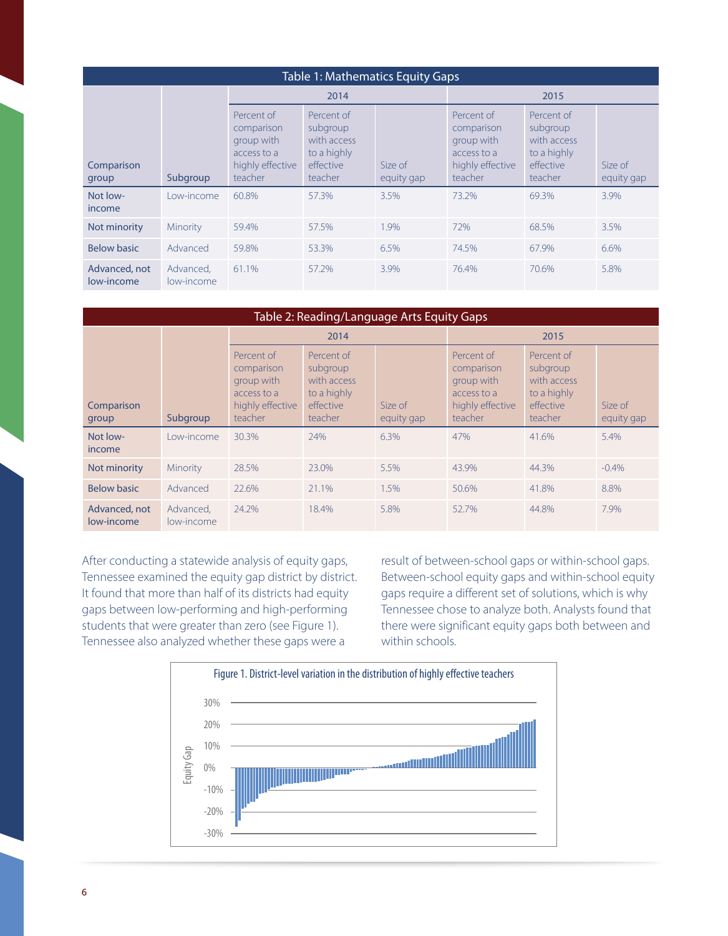| <b>Table 1: Mathematics Equity Gaps</b> |                         |                                                                                      |                                                                              |                        |                                                                                      |                                                                              |                       |  |  |  |  |  |
|-----------------------------------------|-------------------------|--------------------------------------------------------------------------------------|------------------------------------------------------------------------------|------------------------|--------------------------------------------------------------------------------------|------------------------------------------------------------------------------|-----------------------|--|--|--|--|--|
| Comparison<br>group                     | Subgroup                | 2014                                                                                 |                                                                              |                        | 2015                                                                                 |                                                                              |                       |  |  |  |  |  |
|                                         |                         | Percent of<br>comparison<br>group with<br>access to a<br>highly effective<br>teacher | Percent of<br>subgroup<br>with access<br>to a highly<br>effective<br>teacher | Size of<br>equity gap. | Percent of<br>comparison<br>group with<br>access to a<br>highly effective<br>teacher | Percent of<br>subgroup<br>with access<br>to a highly<br>effective<br>teacher | Size of<br>equity gap |  |  |  |  |  |
| Not low-<br>income                      | l ow-income             | 60.8%                                                                                | 57.3%                                                                        | 3.5%                   | 73.2%                                                                                | 69.3%                                                                        | 3.9%                  |  |  |  |  |  |
| Not minority                            | Minority                | 59.4%                                                                                | 57.5%                                                                        | 1.9%                   | 72%                                                                                  | 68.5%                                                                        | 3.5%                  |  |  |  |  |  |
| <b>Below basic</b>                      | Advanced                | 59.8%                                                                                | 53.3%                                                                        | 6.5%                   | 74.5%                                                                                | 67.9%                                                                        | 6.6%                  |  |  |  |  |  |
| Advanced, not<br>low-income             | Advanced.<br>low-income | 61.1%                                                                                | 57.2%                                                                        | 3.9%                   | 76.4%                                                                                | 70.6%                                                                        | 5.8%                  |  |  |  |  |  |

| Table 2: Reading/Language Arts Equity Gaps |                         |                                                                                      |                                                                              |                       |                                                                                      |                                                                              |                       |  |  |  |  |  |
|--------------------------------------------|-------------------------|--------------------------------------------------------------------------------------|------------------------------------------------------------------------------|-----------------------|--------------------------------------------------------------------------------------|------------------------------------------------------------------------------|-----------------------|--|--|--|--|--|
| Comparison<br>group                        | Subgroup                | 2014                                                                                 |                                                                              |                       | 2015                                                                                 |                                                                              |                       |  |  |  |  |  |
|                                            |                         | Percent of<br>comparison<br>group with<br>access to a<br>highly effective<br>teacher | Percent of<br>subgroup<br>with access<br>to a highly<br>effective<br>teacher | Size of<br>equity gap | Percent of<br>comparison<br>group with<br>access to a<br>highly effective<br>teacher | Percent of<br>subgroup<br>with access<br>to a highly<br>effective<br>teacher | Size of<br>equity gap |  |  |  |  |  |
| Not low-<br>income                         | Low-income              | 30.3%                                                                                | 24%                                                                          | 6.3%                  | 47%                                                                                  | 41.6%                                                                        | 5.4%                  |  |  |  |  |  |
| Not minority                               | Minority                | 28.5%                                                                                | 23.0%                                                                        | 5.5%                  | 43.9%                                                                                | 44.3%                                                                        | $-0.4%$               |  |  |  |  |  |
| <b>Below basic</b>                         | Advanced                | 22.6%                                                                                | 21.1%                                                                        | 1.5%                  | 50.6%                                                                                | 41.8%                                                                        | 8.8%                  |  |  |  |  |  |
| Advanced, not<br>low-income                | Advanced,<br>low-income | 24.2%                                                                                | 18.4%                                                                        | 5.8%                  | 52.7%                                                                                | 44.8%                                                                        | 7.9%                  |  |  |  |  |  |

After conducting a statewide analysis of equity gaps, Tennessee examined the equity gap district by district. It found that more than half of its districts had equity gaps between low-performing and high-performing students that were greater than zero (see Figure 1). Tennessee also analyzed whether these gaps were a

result of between-school gaps or within-school gaps. Between-school equity gaps and within-school equity gaps require a different set of solutions, which is why Tennessee chose to analyze both. Analysts found that there were significant equity gaps both between and within schools.

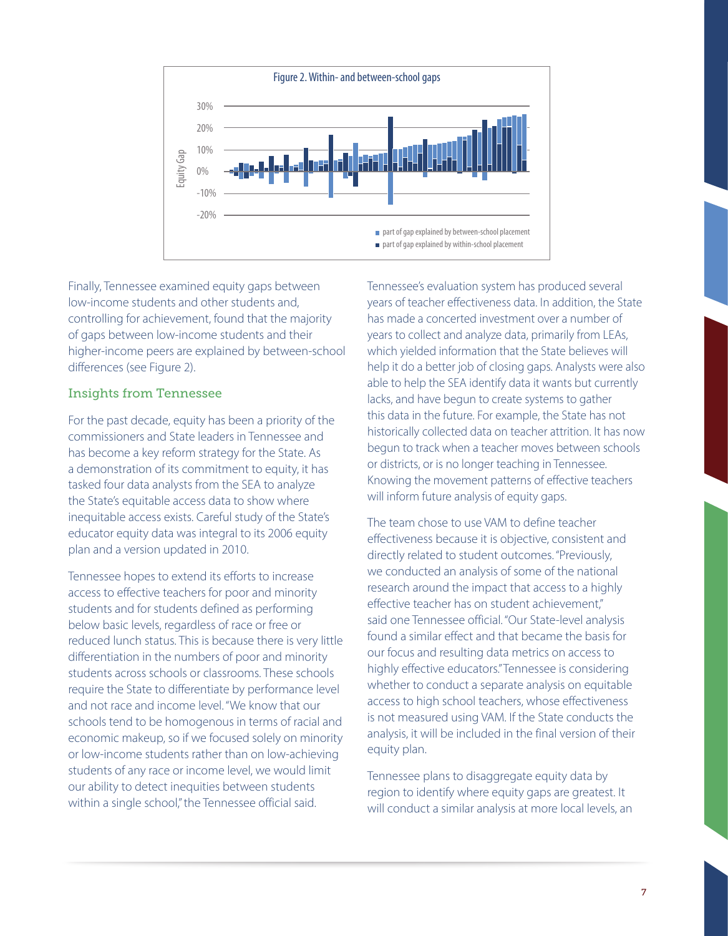

Finally, Tennessee examined equity gaps between low-income students and other students and, controlling for achievement, found that the majority of gaps between low-income students and their higher-income peers are explained by between-school differences (see Figure 2).

### Insights from Tennessee

For the past decade, equity has been a priority of the commissioners and State leaders in Tennessee and has become a key reform strategy for the State. As a demonstration of its commitment to equity, it has tasked four data analysts from the SEA to analyze the State's equitable access data to show where inequitable access exists. Careful study of the State's educator equity data was integral to its 2006 equity plan and a version updated in 2010.

Tennessee hopes to extend its efforts to increase access to effective teachers for poor and minority students and for students defined as performing below basic levels, regardless of race or free or reduced lunch status. This is because there is very little differentiation in the numbers of poor and minority students across schools or classrooms. These schools require the State to differentiate by performance level and not race and income level. "We know that our schools tend to be homogenous in terms of racial and economic makeup, so if we focused solely on minority or low-income students rather than on low-achieving students of any race or income level, we would limit our ability to detect inequities between students within a single school," the Tennessee official said.

Tennessee's evaluation system has produced several years of teacher effectiveness data. In addition, the State has made a concerted investment over a number of years to collect and analyze data, primarily from LEAs, which yielded information that the State believes will help it do a better job of closing gaps. Analysts were also able to help the SEA identify data it wants but currently lacks, and have begun to create systems to gather this data in the future. For example, the State has not historically collected data on teacher attrition. It has now begun to track when a teacher moves between schools or districts, or is no longer teaching in Tennessee. Knowing the movement patterns of effective teachers will inform future analysis of equity gaps.

The team chose to use VAM to define teacher effectiveness because it is objective, consistent and directly related to student outcomes. "Previously, we conducted an analysis of some of the national research around the impact that access to a highly effective teacher has on student achievement," said one Tennessee official. "Our State-level analysis found a similar effect and that became the basis for our focus and resulting data metrics on access to highly effective educators." Tennessee is considering whether to conduct a separate analysis on equitable access to high school teachers, whose effectiveness is not measured using VAM. If the State conducts the analysis, it will be included in the final version of their equity plan.

Tennessee plans to disaggregate equity data by region to identify where equity gaps are greatest. It will conduct a similar analysis at more local levels, an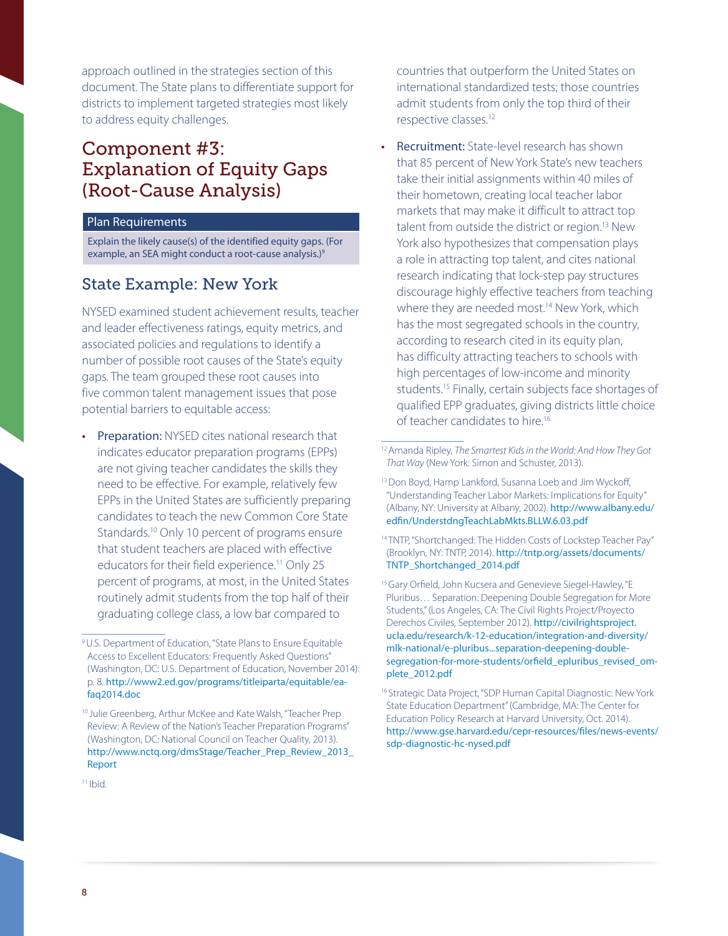approach outlined in the strategies section of this document. The State plans to differentiate support for districts to implement targeted strategies most likely to address equity challenges.

## Component #3: Explanation of Equity Gaps (Root-Cause Analysis)

#### Plan Requirements

Explain the likely cause(s) of the identified equity gaps. (For example, an SEA might conduct a root-cause analysis.)<sup>9</sup>

## State Example: New York

NYSED examined student achievement results, teacher and leader effectiveness ratings, equity metrics, and associated policies and regulations to identify a number of possible root causes of the State's equity gaps. The team grouped these root causes into five common talent management issues that pose potential barriers to equitable access:

**Preparation:** NYSED cites national research that indicates educator preparation programs (EPPs) are not giving teacher candidates the skills they need to be effective. For example, relatively few EPPs in the United States are sufficiently preparing candidates to teach the new Common Core State Standards.10 Only 10 percent of programs ensure that student teachers are placed with effective educators for their field experience.<sup>11</sup> Only 25 percent of programs, at most, in the United States routinely admit students from the top half of their graduating college class, a low bar compared to

countries that outperform the United States on international standardized tests; those countries admit students from only the top third of their respective classes.<sup>12</sup>

**Recruitment:** State-level research has shown that 85 percent of New York State's new teachers take their initial assignments within 40 miles of their hometown, creating local teacher labor markets that may make it difficult to attract top talent from outside the district or region.<sup>13</sup> New York also hypothesizes that compensation plays a role in attracting top talent, and cites national research indicating that lock-step pay structures discourage highly effective teachers from teaching where they are needed most.<sup>14</sup> New York, which has the most segregated schools in the country, according to research cited in its equity plan, has difficulty attracting teachers to schools with high percentages of low-income and minority students.<sup>15</sup> Finally, certain subjects face shortages of qualified EPP graduates, giving districts little choice of teacher candidates to hire.<sup>16</sup>

<sup>9</sup> U.S. Department of Education, "State Plans to Ensure Equitable Access to Excellent Educators: Frequently Asked Questions" (Washington, DC: U.S. Department of Education, November 2014): p. 8. [http://www2.ed.gov/programs/titleiparta/equitable/ea](http://www2.ed.gov/programs/titleiparta/equitable/eafaq2014.doc)[faq2014.doc](http://www2.ed.gov/programs/titleiparta/equitable/eafaq2014.doc)

<sup>&</sup>lt;sup>10</sup> Julie Greenberg, Arthur McKee and Kate Walsh, "Teacher Prep Review: A Review of the Nation's Teacher Preparation Programs" (Washington, DC: National Council on Teacher Quality, 2013). [http://www.nctq.org/dmsStage/Teacher\\_Prep\\_Review\\_2013\\_](http://www.nctq.org/dmsStage/Teacher_Prep_Review_2013_Report) [Report](http://www.nctq.org/dmsStage/Teacher_Prep_Review_2013_Report)

<sup>12</sup> Amanda Ripley, *The Smartest Kids in the World: And How They Got That Way* (New York: Simon and Schuster, 2013).

<sup>&</sup>lt;sup>13</sup> Don Boyd, Hamp Lankford, Susanna Loeb and Jim Wyckoff, "Understanding Teacher Labor Markets: Implications for Equity" (Albany, NY: University at Albany, 2002). [http://www.albany.edu/](http://www.albany.edu/edfin/UnderstdngTeachLabMkts.BLLW.6.03.pdf) [edfin/UnderstdngTeachLabMkts.BLLW.6.03.pdf](http://www.albany.edu/edfin/UnderstdngTeachLabMkts.BLLW.6.03.pdf)

<sup>14</sup> TNTP, "Shortchanged: The Hidden Costs of Lockstep Teacher Pay" (Brooklyn, NY: TNTP, 2014). [http://tntp.org/assets/documents/](http://tntp.org/assets/documents/TNTP_Shortchanged_2014.pdf) [TNTP\\_Shortchanged\\_2014.pdf](http://tntp.org/assets/documents/TNTP_Shortchanged_2014.pdf)

<sup>&</sup>lt;sup>15</sup> Gary Orfield, John Kucsera and Genevieve Siegel-Hawley, "E Pluribus… Separation: Deepening Double Segregation for More Students," (Los Angeles, CA: The Civil Rights Project/Proyecto Derechos Civiles, September 2012). [http://civilrightsproject.](http://civilrightsproject.ucla.edu/research/k-12-education/integration-and-diversity/mlk-national/e-pluribus...separation-deepening-double-segregation-for-more-students/orfield_epluribus_revised_omplete_2012.pdf) [ucla.edu/research/k-12-education/integration-and-diversity/](http://civilrightsproject.ucla.edu/research/k-12-education/integration-and-diversity/mlk-national/e-pluribus...separation-deepening-double-segregation-for-more-students/orfield_epluribus_revised_omplete_2012.pdf) [mlk-national/e-pluribus...separation-deepening-double](http://civilrightsproject.ucla.edu/research/k-12-education/integration-and-diversity/mlk-national/e-pluribus...separation-deepening-double-segregation-for-more-students/orfield_epluribus_revised_omplete_2012.pdf)[segregation-for-more-students/orfield\\_epluribus\\_revised\\_om](http://civilrightsproject.ucla.edu/research/k-12-education/integration-and-diversity/mlk-national/e-pluribus...separation-deepening-double-segregation-for-more-students/orfield_epluribus_revised_omplete_2012.pdf)[plete\\_2012.pdf](http://civilrightsproject.ucla.edu/research/k-12-education/integration-and-diversity/mlk-national/e-pluribus...separation-deepening-double-segregation-for-more-students/orfield_epluribus_revised_omplete_2012.pdf)

<sup>&</sup>lt;sup>16</sup> Strategic Data Project, "SDP Human Capital Diagnostic: New York State Education Department" (Cambridge, MA: The Center for Education Policy Research at Harvard University, Oct. 2014). http://www.gse.harvard.edu/cepr-resources/files/news-events/ sdp-diagnostic-hc-nysed.pdf

<sup>11</sup> Ibid.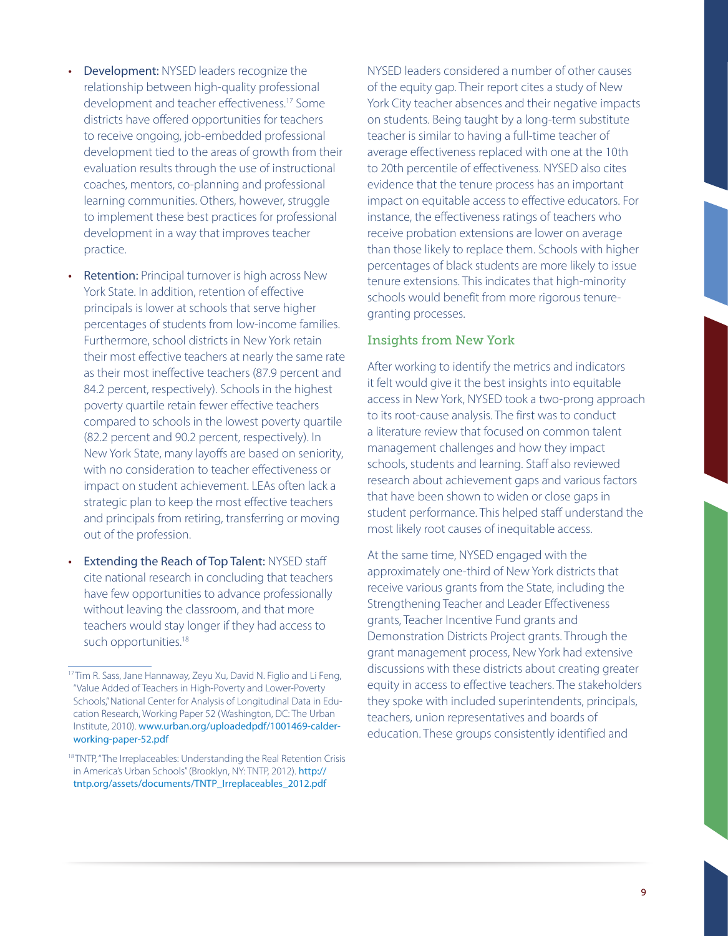- **Development:** NYSED leaders recognize the relationship between high-quality professional development and teacher effectiveness.17 Some districts have offered opportunities for teachers to receive ongoing, job-embedded professional development tied to the areas of growth from their evaluation results through the use of instructional coaches, mentors, co-planning and professional learning communities. Others, however, struggle to implement these best practices for professional development in a way that improves teacher practice.
- Retention: Principal turnover is high across New York State. In addition, retention of effective principals is lower at schools that serve higher percentages of students from low-income families. Furthermore, school districts in New York retain their most effective teachers at nearly the same rate as their most ineffective teachers (87.9 percent and 84.2 percent, respectively). Schools in the highest poverty quartile retain fewer effective teachers compared to schools in the lowest poverty quartile (82.2 percent and 90.2 percent, respectively). In New York State, many layoffs are based on seniority, with no consideration to teacher effectiveness or impact on student achievement. LEAs often lack a strategic plan to keep the most effective teachers and principals from retiring, transferring or moving out of the profession.
- **Extending the Reach of Top Talent: NYSED staff** cite national research in concluding that teachers have few opportunities to advance professionally without leaving the classroom, and that more teachers would stay longer if they had access to such opportunities.<sup>18</sup>

NYSED leaders considered a number of other causes of the equity gap. Their report cites a study of New York City teacher absences and their negative impacts on students. Being taught by a long-term substitute teacher is similar to having a full-time teacher of average effectiveness replaced with one at the 10th to 20th percentile of effectiveness. NYSED also cites evidence that the tenure process has an important impact on equitable access to effective educators. For instance, the effectiveness ratings of teachers who receive probation extensions are lower on average than those likely to replace them. Schools with higher percentages of black students are more likely to issue tenure extensions. This indicates that high-minority schools would benefit from more rigorous tenuregranting processes.

#### Insights from New York

After working to identify the metrics and indicators it felt would give it the best insights into equitable access in New York, NYSED took a two-prong approach to its root-cause analysis. The first was to conduct a literature review that focused on common talent management challenges and how they impact schools, students and learning. Staff also reviewed research about achievement gaps and various factors that have been shown to widen or close gaps in student performance. This helped staff understand the most likely root causes of inequitable access.

At the same time, NYSED engaged with the approximately one-third of New York districts that receive various grants from the State, including the Strengthening Teacher and Leader Effectiveness grants, Teacher Incentive Fund grants and Demonstration Districts Project grants. Through the grant management process, New York had extensive discussions with these districts about creating greater equity in access to effective teachers. The stakeholders they spoke with included superintendents, principals, teachers, union representatives and boards of education. These groups consistently identified and

<sup>&</sup>lt;sup>17</sup> Tim R. Sass, Jane Hannaway, Zeyu Xu, David N. Figlio and Li Feng, "Value Added of Teachers in High-Poverty and Lower-Poverty Schools," National Center for Analysis of Longitudinal Data in Education Research, Working Paper 52 (Washington, DC: The Urban Institute, 2010). [www.urban.org/uploadedpdf/1001469-calder](www.urban.org/uploadedpdf/1001469-calder-working-paper-52.pdf)[working-paper-52.pdf](www.urban.org/uploadedpdf/1001469-calder-working-paper-52.pdf)

<sup>&</sup>lt;sup>18</sup> TNTP, "The Irreplaceables: Understanding the Real Retention Crisis in America's Urban Schools" (Brooklyn, NY: TNTP, 2012). [http://](http://tntp.org/assets/documents/TNTP_Irreplaceables_2012.pdf) [tntp.org/assets/documents/TNTP\\_Irreplaceables\\_2012.pdf](http://tntp.org/assets/documents/TNTP_Irreplaceables_2012.pdf)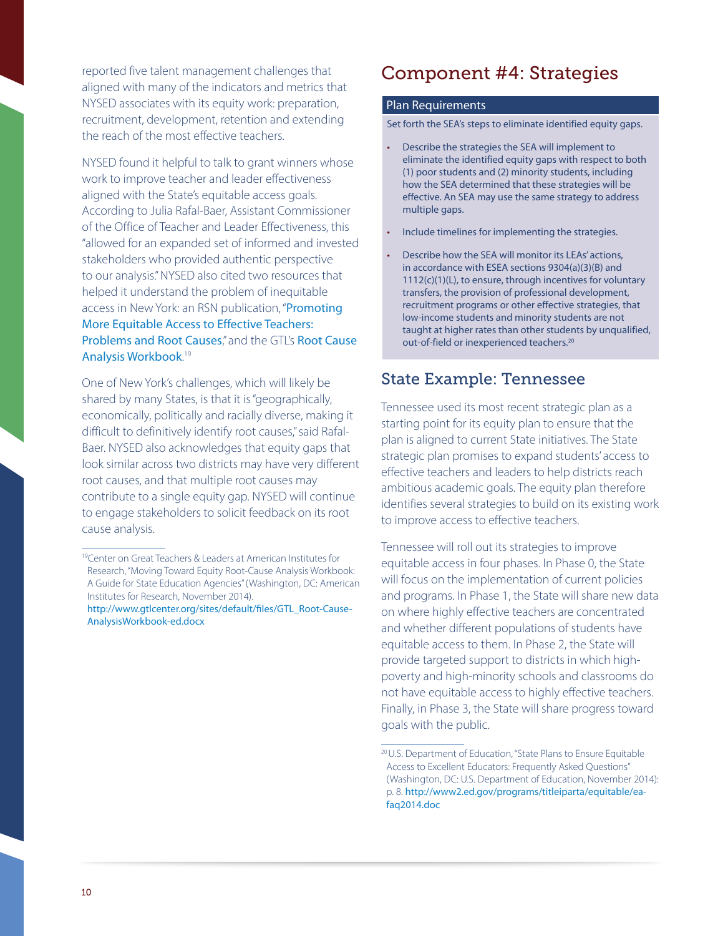reported five talent management challenges that aligned with many of the indicators and metrics that NYSED associates with its equity work: preparation, recruitment, development, retention and extending the reach of the most effective teachers.

NYSED found it helpful to talk to grant winners whose work to improve teacher and leader effectiveness aligned with the State's equitable access goals. According to Julia Rafal-Baer, Assistant Commissioner of the Office of Teacher and Leader Effectiveness, this "allowed for an expanded set of informed and invested stakeholders who provided authentic perspective to our analysis." NYSED also cited two resources that helped it understand the problem of inequitable access in New York: an RSN publication, "[Promoting](https://rtt.grads360.org/#communities/pdc/documents/7233)  [More Equitable Access to Effective Teachers:](https://rtt.grads360.org/#communities/pdc/documents/7233)  [Problems and Root Causes](https://rtt.grads360.org/#communities/pdc/documents/7233)," and the GTL's Root Cause [Analysis Workbook](http://www.gtlcenter.org/learning-hub/equitable-access-toolkit/root-cause-analysis-workbook). 19

One of New York's challenges, which will likely be shared by many States, is that it is "geographically, economically, politically and racially diverse, making it difficult to definitively identify root causes," said Rafal-Baer. NYSED also acknowledges that equity gaps that look similar across two districts may have very different root causes, and that multiple root causes may contribute to a single equity gap. NYSED will continue to engage stakeholders to solicit feedback on its root cause analysis.

## Component #4: Strategies

### Plan Requirements

Set forth the SEA's steps to eliminate identified equity gaps.

- Describe the strategies the SEA will implement to eliminate the identified equity gaps with respect to both (1) poor students and (2) minority students, including how the SEA determined that these strategies will be effective. An SEA may use the same strategy to address multiple gaps.
- Include timelines for implementing the strategies.
- Describe how the SEA will monitor its LEAs' actions, in accordance with ESEA sections 9304(a)(3)(B) and 1112(c)(1)(L), to ensure, through incentives for voluntary transfers, the provision of professional development, recruitment programs or other effective strategies, that low-income students and minority students are not taught at higher rates than other students by unqualified, out-of-field or inexperienced teachers.<sup>20</sup>

### State Example: Tennessee

Tennessee used its most recent strategic plan as a starting point for its equity plan to ensure that the plan is aligned to current State initiatives. The State strategic plan promises to expand students' access to effective teachers and leaders to help districts reach ambitious academic goals. The equity plan therefore identifies several strategies to build on its existing work to improve access to effective teachers.

Tennessee will roll out its strategies to improve equitable access in four phases. In Phase 0, the State will focus on the implementation of current policies and programs. In Phase 1, the State will share new data on where highly effective teachers are concentrated and whether different populations of students have equitable access to them. In Phase 2, the State will provide targeted support to districts in which highpoverty and high-minority schools and classrooms do not have equitable access to highly effective teachers. Finally, in Phase 3, the State will share progress toward goals with the public.

<sup>&</sup>lt;sup>19</sup>Center on Great Teachers & Leaders at American Institutes for Research, "Moving Toward Equity Root-Cause Analysis Workbook: A Guide for State Education Agencies" (Washington, DC: American Institutes for Research, November 2014).

[http://www.gtlcenter.org/sites/default/files/GTL\\_Root-Cause-](http://www.gtlcenter.org/sites/default/files/GTL_Root-CauseAnalysisWorkbook-ed.docx)[AnalysisWorkbook-ed.docx](http://www.gtlcenter.org/sites/default/files/GTL_Root-CauseAnalysisWorkbook-ed.docx)

<sup>20</sup>U.S. Department of Education, "State Plans to Ensure Equitable Access to Excellent Educators: Frequently Asked Questions" (Washington, DC: U.S. Department of Education, November 2014): p. 8. [http://www2.ed.gov/programs/titleiparta/equitable/ea](http://www2.ed.gov/programs/titleiparta/equitable/eafaq2014.doc)[faq2014.doc](http://www2.ed.gov/programs/titleiparta/equitable/eafaq2014.doc)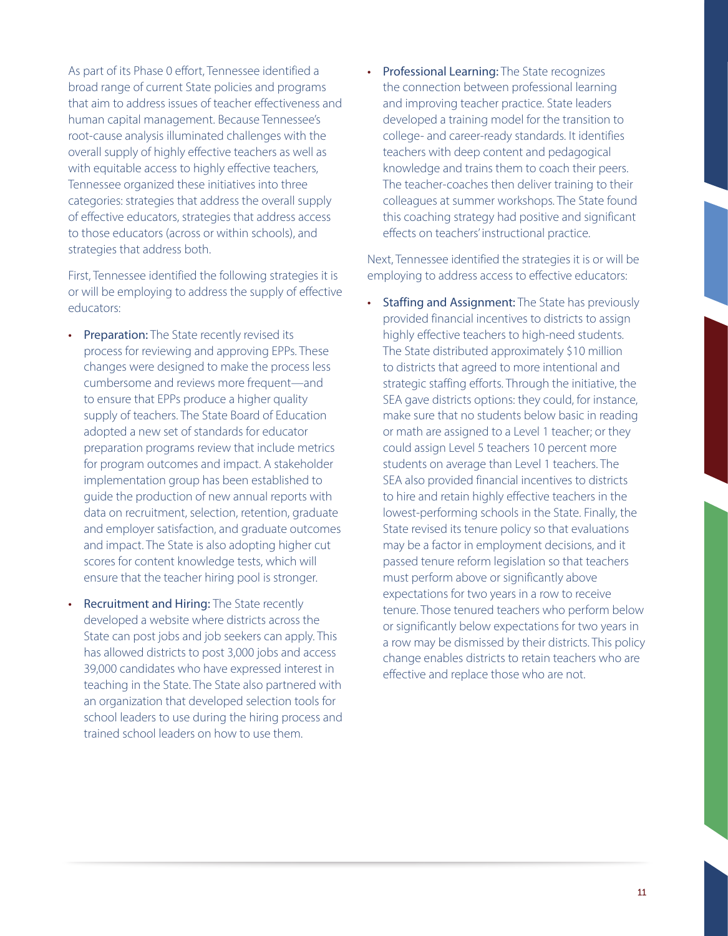As part of its Phase 0 effort, Tennessee identified a broad range of current State policies and programs that aim to address issues of teacher effectiveness and human capital management. Because Tennessee's root-cause analysis illuminated challenges with the overall supply of highly effective teachers as well as with equitable access to highly effective teachers, Tennessee organized these initiatives into three categories: strategies that address the overall supply of effective educators, strategies that address access to those educators (across or within schools), and strategies that address both.

First, Tennessee identified the following strategies it is or will be employing to address the supply of effective educators:

- Preparation: The State recently revised its process for reviewing and approving EPPs. These changes were designed to make the process less cumbersome and reviews more frequent—and to ensure that EPPs produce a higher quality supply of teachers. The State Board of Education adopted a new set of standards for educator preparation programs review that include metrics for program outcomes and impact. A stakeholder implementation group has been established to guide the production of new annual reports with data on recruitment, selection, retention, graduate and employer satisfaction, and graduate outcomes and impact. The State is also adopting higher cut scores for content knowledge tests, which will ensure that the teacher hiring pool is stronger.
- Recruitment and Hiring: The State recently developed a website where districts across the State can post jobs and job seekers can apply. This has allowed districts to post 3,000 jobs and access 39,000 candidates who have expressed interest in teaching in the State. The State also partnered with an organization that developed selection tools for school leaders to use during the hiring process and trained school leaders on how to use them.

• Professional Learning: The State recognizes the connection between professional learning and improving teacher practice. State leaders developed a training model for the transition to college- and career-ready standards. It identifies teachers with deep content and pedagogical knowledge and trains them to coach their peers. The teacher-coaches then deliver training to their colleagues at summer workshops. The State found this coaching strategy had positive and significant effects on teachers' instructional practice.

Next, Tennessee identified the strategies it is or will be employing to address access to effective educators:

• Staffing and Assignment: The State has previously provided financial incentives to districts to assign highly effective teachers to high-need students. The State distributed approximately \$10 million to districts that agreed to more intentional and strategic staffing efforts. Through the initiative, the SEA gave districts options: they could, for instance, make sure that no students below basic in reading or math are assigned to a Level 1 teacher; or they could assign Level 5 teachers 10 percent more students on average than Level 1 teachers. The SEA also provided financial incentives to districts to hire and retain highly effective teachers in the lowest-performing schools in the State. Finally, the State revised its tenure policy so that evaluations may be a factor in employment decisions, and it passed tenure reform legislation so that teachers must perform above or significantly above expectations for two years in a row to receive tenure. Those tenured teachers who perform below or significantly below expectations for two years in a row may be dismissed by their districts. This policy change enables districts to retain teachers who are effective and replace those who are not.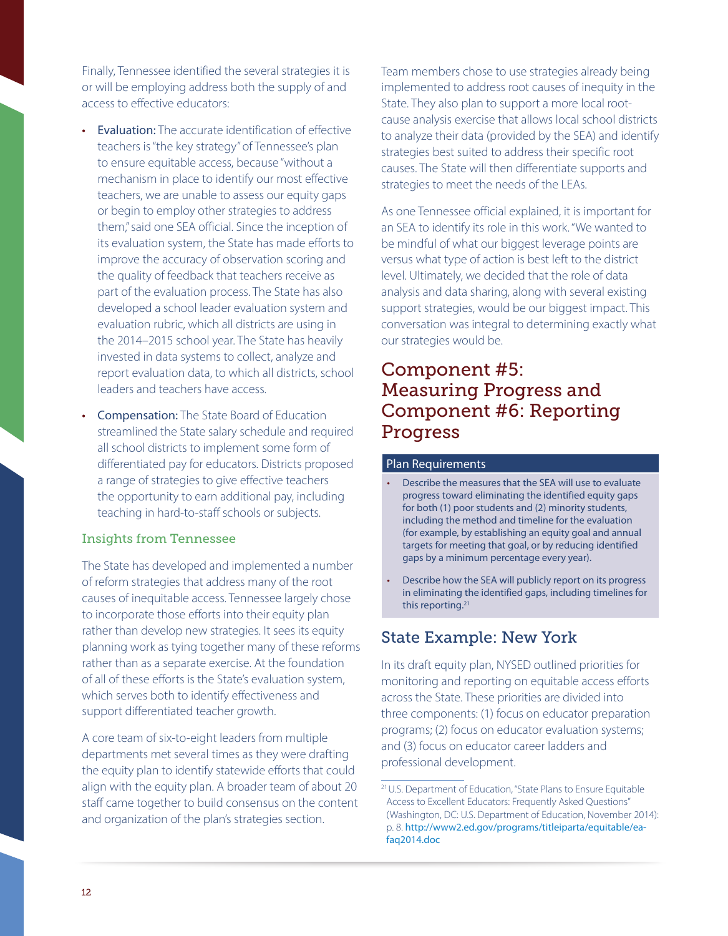Finally, Tennessee identified the several strategies it is or will be employing address both the supply of and access to effective educators:

- Evaluation: The accurate identification of effective teachers is "the key strategy" of Tennessee's plan to ensure equitable access, because "without a mechanism in place to identify our most effective teachers, we are unable to assess our equity gaps or begin to employ other strategies to address them," said one SEA official. Since the inception of its evaluation system, the State has made efforts to improve the accuracy of observation scoring and the quality of feedback that teachers receive as part of the evaluation process. The State has also developed a school leader evaluation system and evaluation rubric, which all districts are using in the 2014–2015 school year. The State has heavily invested in data systems to collect, analyze and report evaluation data, to which all districts, school leaders and teachers have access.
- Compensation: The State Board of Education streamlined the State salary schedule and required all school districts to implement some form of differentiated pay for educators. Districts proposed a range of strategies to give effective teachers the opportunity to earn additional pay, including teaching in hard-to-staff schools or subjects.

#### Insights from Tennessee

The State has developed and implemented a number of reform strategies that address many of the root causes of inequitable access. Tennessee largely chose to incorporate those efforts into their equity plan rather than develop new strategies. It sees its equity planning work as tying together many of these reforms rather than as a separate exercise. At the foundation of all of these efforts is the State's evaluation system, which serves both to identify effectiveness and support differentiated teacher growth.

A core team of six-to-eight leaders from multiple departments met several times as they were drafting the equity plan to identify statewide efforts that could align with the equity plan. A broader team of about 20 staff came together to build consensus on the content and organization of the plan's strategies section.

Team members chose to use strategies already being implemented to address root causes of inequity in the State. They also plan to support a more local rootcause analysis exercise that allows local school districts to analyze their data (provided by the SEA) and identify strategies best suited to address their specific root causes. The State will then differentiate supports and strategies to meet the needs of the LEAs.

As one Tennessee official explained, it is important for an SEA to identify its role in this work. "We wanted to be mindful of what our biggest leverage points are versus what type of action is best left to the district level. Ultimately, we decided that the role of data analysis and data sharing, along with several existing support strategies, would be our biggest impact. This conversation was integral to determining exactly what our strategies would be.

## Component #5: Measuring Progress and Component #6: Reporting Progress

### Plan Requirements

- Describe the measures that the SEA will use to evaluate progress toward eliminating the identified equity gaps for both (1) poor students and (2) minority students, including the method and timeline for the evaluation (for example, by establishing an equity goal and annual targets for meeting that goal, or by reducing identified gaps by a minimum percentage every year).
- Describe how the SEA will publicly report on its progress in eliminating the identified gaps, including timelines for this reporting.<sup>21</sup>

## State Example: New York

In its draft equity plan, NYSED outlined priorities for monitoring and reporting on equitable access efforts across the State. These priorities are divided into three components: (1) focus on educator preparation programs; (2) focus on educator evaluation systems; and (3) focus on educator career ladders and professional development.

<sup>21</sup>U.S. Department of Education, "State Plans to Ensure Equitable Access to Excellent Educators: Frequently Asked Questions" (Washington, DC: U.S. Department of Education, November 2014): p. 8. [http://www2.ed.gov/programs/titleiparta/equitable/ea](http://www2.ed.gov/programs/titleiparta/equitable/eafaq2014.doc)[faq2014.doc](http://www2.ed.gov/programs/titleiparta/equitable/eafaq2014.doc)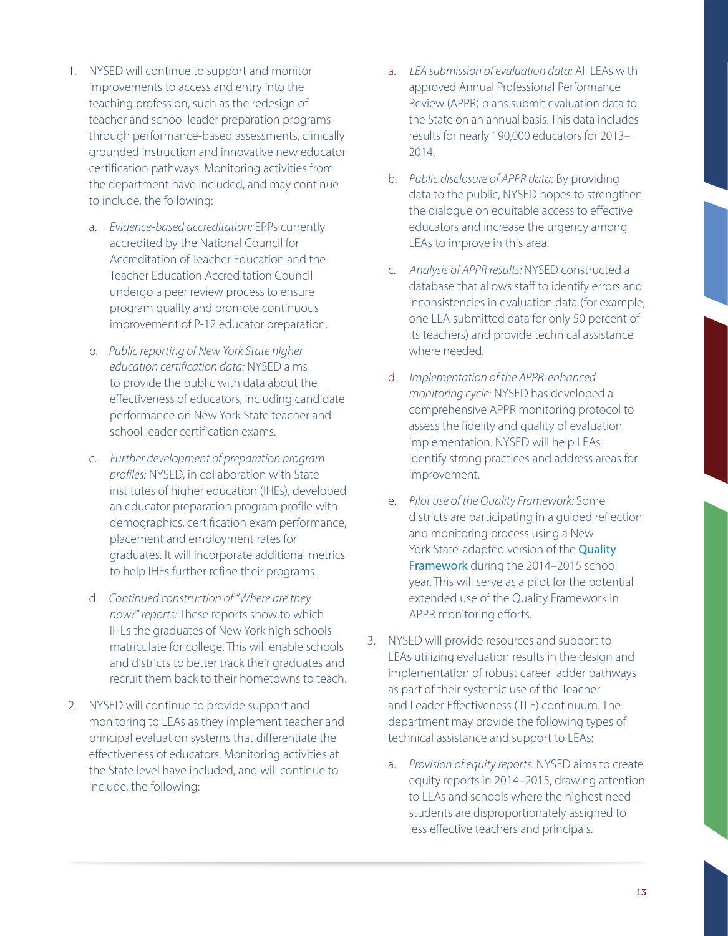- 1. NYSED will continue to support and monitor improvements to access and entry into the teaching profession, such as the redesign of teacher and school leader preparation programs through performance-based assessments, clinically grounded instruction and innovative new educator certification pathways. Monitoring activities from the department have included, and may continue to include, the following:
	- a. *Evidence-based accreditation:* EPPs currently accredited by the National Council for Accreditation of Teacher Education and the Teacher Education Accreditation Council undergo a peer review process to ensure program quality and promote continuous improvement of P-12 educator preparation.
	- b. *Public reporting of New York State higher education certification data:* NYSED aims to provide the public with data about the effectiveness of educators, including candidate performance on New York State teacher and school leader certification exams.
	- c. *Further development of preparation program profiles:* NYSED, in collaboration with State institutes of higher education (IHEs), developed an educator preparation program profile with demographics, certification exam performance, placement and employment rates for graduates. It will incorporate additional metrics to help IHEs further refine their programs.
	- d. *Continued construction of "Where are they now?" reports:* These reports show to which IHEs the graduates of New York high schools matriculate for college. This will enable schools and districts to better track their graduates and recruit them back to their hometowns to teach.
- 2. NYSED will continue to provide support and monitoring to LEAs as they implement teacher and principal evaluation systems that differentiate the effectiveness of educators. Monitoring activities at the State level have included, and will continue to include, the following:
- a. *LEA submission of evaluation data:* All LEAs with approved Annual Professional Performance Review (APPR) plans submit evaluation data to the State on an annual basis. This data includes results for nearly 190,000 educators for 2013– 2014.
- b. *Public disclosure of APPR data:* By providing data to the public, NYSED hopes to strengthen the dialogue on equitable access to effective educators and increase the urgency among LEAs to improve in this area.
- c. *Analysis of APPR results:* NYSED constructed a database that allows staff to identify errors and inconsistencies in evaluation data (for example, one LEA submitted data for only 50 percent of its teachers) and provide technical assistance where needed.
- d. *Implementation of the APPR-enhanced monitoring cycle:* NYSED has developed a comprehensive APPR monitoring protocol to assess the fidelity and quality of evaluation implementation. NYSED will help LEAs identify strong practices and address areas for improvement.
- e. *Pilot use of the Quality Framework:* Some districts are participating in a guided reflection and monitoring process using a New York State-adapted version of the **Quality** [Framework](http://www.educationcounsel.com/docudepot/QualityFramework2014.pdf) during the 2014–2015 school year. This will serve as a pilot for the potential extended use of the Quality Framework in APPR monitoring efforts.
- 3. NYSED will provide resources and support to LEAs utilizing evaluation results in the design and implementation of robust career ladder pathways as part of their systemic use of the Teacher and Leader Effectiveness (TLE) continuum. The department may provide the following types of technical assistance and support to LEAs:
	- a. *Provision of equity reports:* NYSED aims to create equity reports in 2014–2015, drawing attention to LEAs and schools where the highest need students are disproportionately assigned to less effective teachers and principals.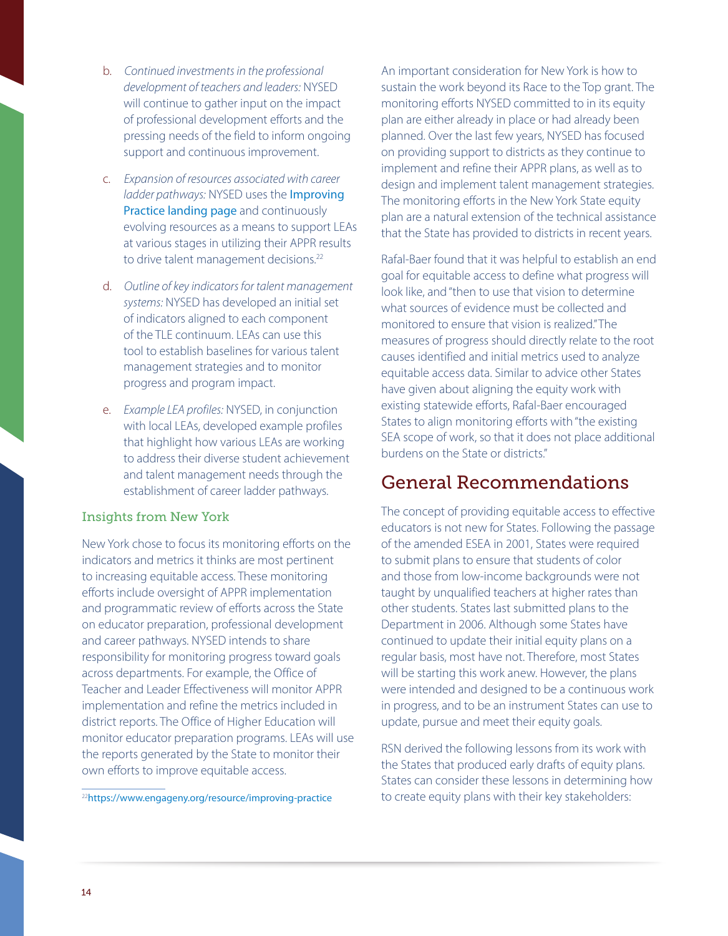- b. *Continued investments in the professional development of teachers and leaders:* NYSED will continue to gather input on the impact of professional development efforts and the pressing needs of the field to inform ongoing support and continuous improvement.
- c. *Expansion of resources associated with career ladder pathways:* NYSED uses the [Improving](https://www.engageny.org/resource/improving-practice)  [Practice landing page](https://www.engageny.org/resource/improving-practice) and continuously evolving resources as a means to support LEAs at various stages in utilizing their APPR results to drive talent management decisions.<sup>22</sup>
- d. *Outline of key indicators for talent management systems:* NYSED has developed an initial set of indicators aligned to each component of the TLE continuum. LEAs can use this tool to establish baselines for various talent management strategies and to monitor progress and program impact.
- e. *Example LEA profiles:* NYSED, in conjunction with local LEAs, developed example profiles that highlight how various LEAs are working to address their diverse student achievement and talent management needs through the establishment of career ladder pathways.

### Insights from New York

New York chose to focus its monitoring efforts on the indicators and metrics it thinks are most pertinent to increasing equitable access. These monitoring efforts include oversight of APPR implementation and programmatic review of efforts across the State on educator preparation, professional development and career pathways. NYSED intends to share responsibility for monitoring progress toward goals across departments. For example, the Office of Teacher and Leader Effectiveness will monitor APPR implementation and refine the metrics included in district reports. The Office of Higher Education will monitor educator preparation programs. LEAs will use the reports generated by the State to monitor their own efforts to improve equitable access.

<sup>22</sup><https://www.engageny.org/resource/improving-practice>

An important consideration for New York is how to sustain the work beyond its Race to the Top grant. The monitoring efforts NYSED committed to in its equity plan are either already in place or had already been planned. Over the last few years, NYSED has focused on providing support to districts as they continue to implement and refine their APPR plans, as well as to design and implement talent management strategies. The monitoring efforts in the New York State equity plan are a natural extension of the technical assistance that the State has provided to districts in recent years.

Rafal-Baer found that it was helpful to establish an end goal for equitable access to define what progress will look like, and "then to use that vision to determine what sources of evidence must be collected and monitored to ensure that vision is realized." The measures of progress should directly relate to the root causes identified and initial metrics used to analyze equitable access data. Similar to advice other States have given about aligning the equity work with existing statewide efforts, Rafal-Baer encouraged States to align monitoring efforts with "the existing SEA scope of work, so that it does not place additional burdens on the State or districts."

## General Recommendations

The concept of providing equitable access to effective educators is not new for States. Following the passage of the amended ESEA in 2001, States were required to submit plans to ensure that students of color and those from low-income backgrounds were not taught by unqualified teachers at higher rates than other students. States last submitted plans to the Department in 2006. Although some States have continued to update their initial equity plans on a regular basis, most have not. Therefore, most States will be starting this work anew. However, the plans were intended and designed to be a continuous work in progress, and to be an instrument States can use to update, pursue and meet their equity goals.

RSN derived the following lessons from its work with the States that produced early drafts of equity plans. States can consider these lessons in determining how to create equity plans with their key stakeholders: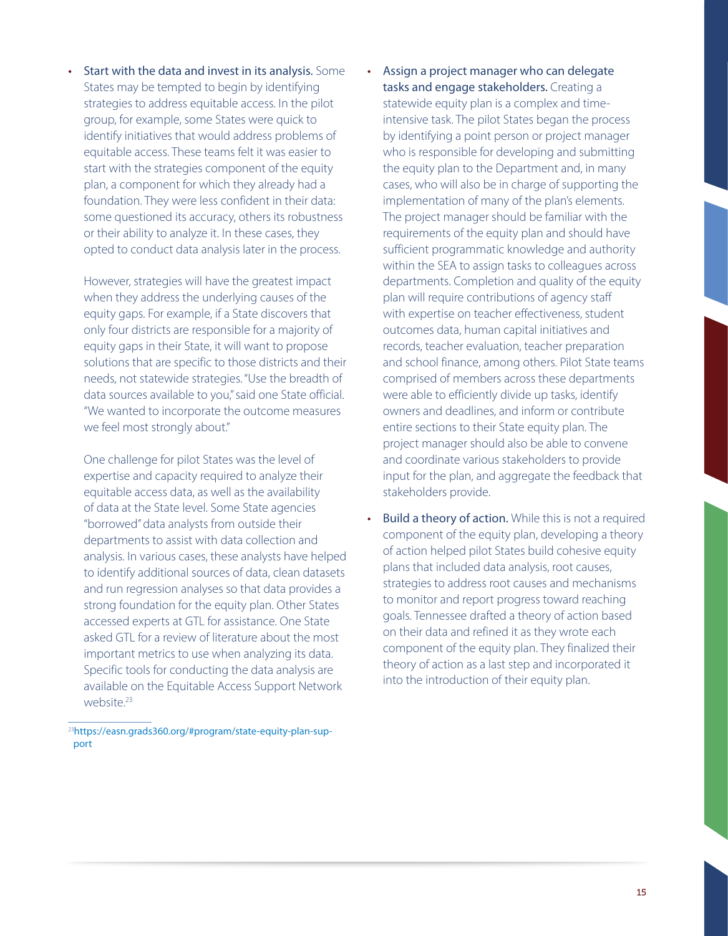Start with the data and invest in its analysis. Some States may be tempted to begin by identifying strategies to address equitable access. In the pilot group, for example, some States were quick to identify initiatives that would address problems of equitable access. These teams felt it was easier to start with the strategies component of the equity plan, a component for which they already had a foundation. They were less confident in their data: some questioned its accuracy, others its robustness or their ability to analyze it. In these cases, they opted to conduct data analysis later in the process.

However, strategies will have the greatest impact when they address the underlying causes of the equity gaps. For example, if a State discovers that only four districts are responsible for a majority of equity gaps in their State, it will want to propose solutions that are specific to those districts and their needs, not statewide strategies. "Use the breadth of data sources available to you," said one State official. "We wanted to incorporate the outcome measures we feel most strongly about."

One challenge for pilot States was the level of expertise and capacity required to analyze their equitable access data, as well as the availability of data at the State level. Some State agencies "borrowed" data analysts from outside their departments to assist with data collection and analysis. In various cases, these analysts have helped to identify additional sources of data, clean datasets and run regression analyses so that data provides a strong foundation for the equity plan. Other States accessed experts at GTL for assistance. One State asked GTL for a review of literature about the most important metrics to use when analyzing its data. Specific tools for conducting the data analysis are available on the Equitable Access Support Network website.<sup>23</sup>

23[https://easn.grads360.org/#program/state-equity-plan-sup](https://easn.grads360.org/#program/state-equity-plan-support)[port](https://easn.grads360.org/#program/state-equity-plan-support) 

- • Assign a project manager who can delegate tasks and engage stakeholders. Creating a statewide equity plan is a complex and timeintensive task. The pilot States began the process by identifying a point person or project manager who is responsible for developing and submitting the equity plan to the Department and, in many cases, who will also be in charge of supporting the implementation of many of the plan's elements. The project manager should be familiar with the requirements of the equity plan and should have sufficient programmatic knowledge and authority within the SEA to assign tasks to colleagues across departments. Completion and quality of the equity plan will require contributions of agency staff with expertise on teacher effectiveness, student outcomes data, human capital initiatives and records, teacher evaluation, teacher preparation and school finance, among others. Pilot State teams comprised of members across these departments were able to efficiently divide up tasks, identify owners and deadlines, and inform or contribute entire sections to their State equity plan. The project manager should also be able to convene and coordinate various stakeholders to provide input for the plan, and aggregate the feedback that stakeholders provide.
- **Build a theory of action.** While this is not a required component of the equity plan, developing a theory of action helped pilot States build cohesive equity plans that included data analysis, root causes, strategies to address root causes and mechanisms to monitor and report progress toward reaching goals. Tennessee drafted a theory of action based on their data and refined it as they wrote each component of the equity plan. They finalized their theory of action as a last step and incorporated it into the introduction of their equity plan.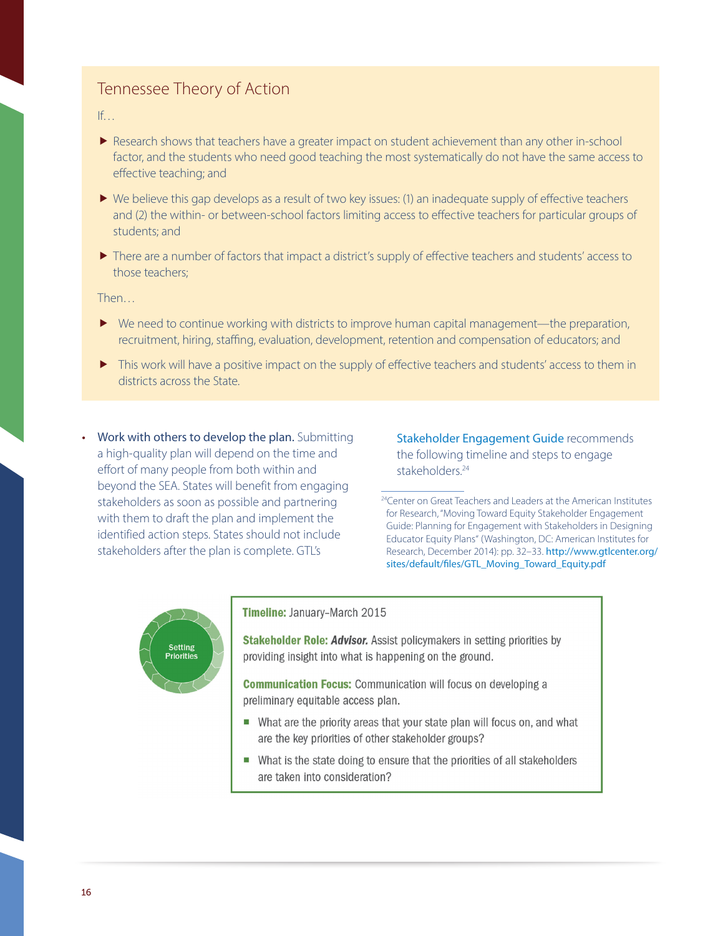## Tennessee Theory of Action

If…

- Research shows that teachers have a greater impact on student achievement than any other in-school factor, and the students who need good teaching the most systematically do not have the same access to effective teaching; and
- $\blacktriangleright$  We believe this gap develops as a result of two key issues: (1) an inadequate supply of effective teachers and (2) the within- or between-school factors limiting access to effective teachers for particular groups of students; and
- There are a number of factors that impact a district's supply of effective teachers and students' access to those teachers;

Then…

- $\blacktriangleright$  We need to continue working with districts to improve human capital management—the preparation, recruitment, hiring, staffing, evaluation, development, retention and compensation of educators; and
- This work will have a positive impact on the supply of effective teachers and students' access to them in districts across the State.
- Work with others to develop the plan. Submitting a high-quality plan will depend on the time and effort of many people from both within and beyond the SEA. States will benefit from engaging stakeholders as soon as possible and partnering with them to draft the plan and implement the identified action steps. States should not include stakeholders after the plan is complete. GTL's

[Stakeholder Engagement Guide](http://www.gtlcenter.org/sites/default/files/GTL_Moving_Toward_Equity.pdf) recommends the following timeline and steps to engage stakeholders.<sup>24</sup>



#### Timeline: January-March 2015

Stakeholder Role: Advisor. Assist policymakers in setting priorities by providing insight into what is happening on the ground.

**Communication Focus:** Communication will focus on developing a preliminary equitable access plan.

- What are the priority areas that your state plan will focus on, and what are the key priorities of other stakeholder groups?
- What is the state doing to ensure that the priorities of all stakeholders are taken into consideration?

<sup>&</sup>lt;sup>24</sup>Center on Great Teachers and Leaders at the American Institutes for Research, "Moving Toward Equity Stakeholder Engagement Guide: Planning for Engagement with Stakeholders in Designing Educator Equity Plans" (Washington, DC: American Institutes for Research, December 2014): pp. 32–33. [http://www.gtlcenter.org/](http://www.gtlcenter.org/sites/default/files/GTL_Moving_Toward_Equity.pdf) [sites/default/files/GTL\\_Moving\\_Toward\\_Equity.pdf](http://www.gtlcenter.org/sites/default/files/GTL_Moving_Toward_Equity.pdf)